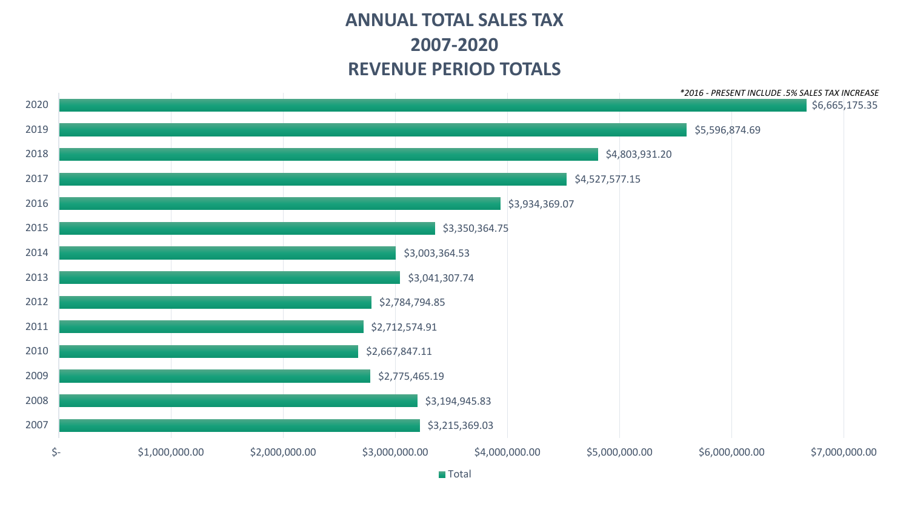# **ANNUAL TOTAL SALES TAX 2007-2020 REVENUE PERIOD TOTALS**



**Total**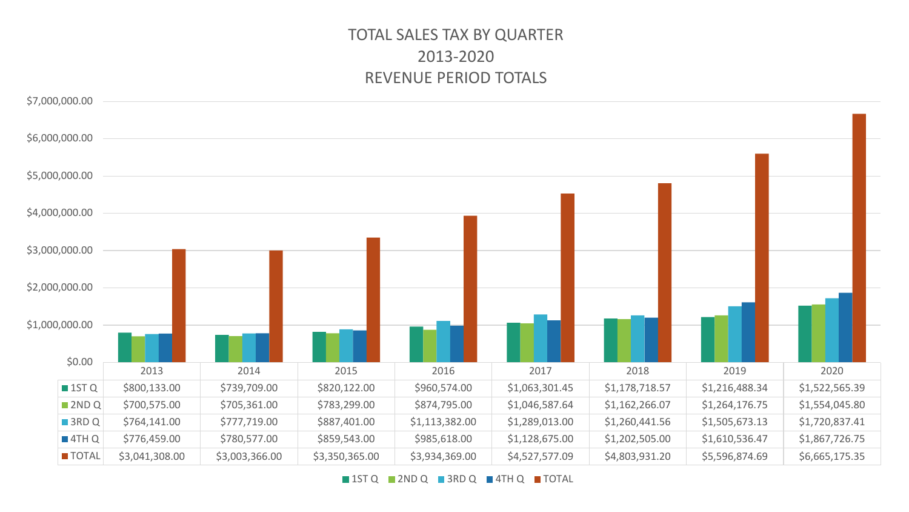# TOTAL SALES TAX BY QUARTER 2013-2020 REVENUE PERIOD TOTALS



1ST Q 2ND Q 3RD Q 4TH Q TOTAL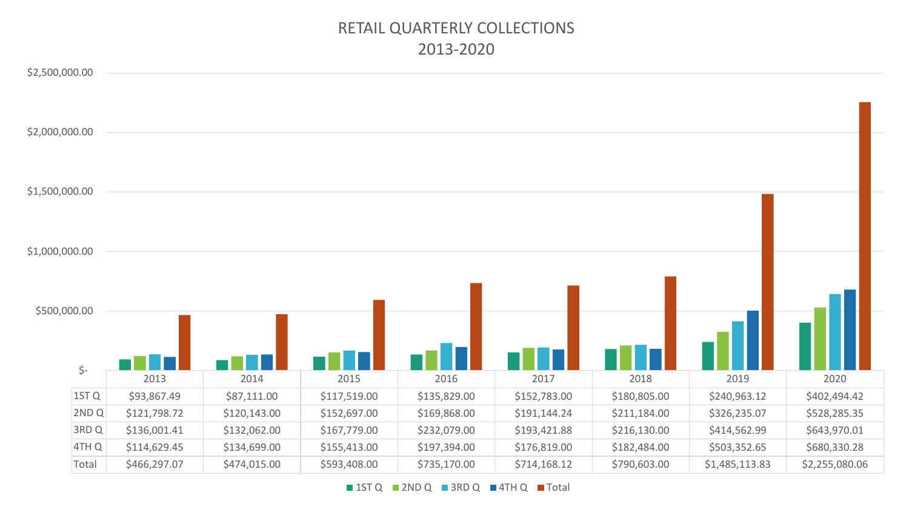### RETAIL QUARTERLY COLLECTIONS 2013-2020

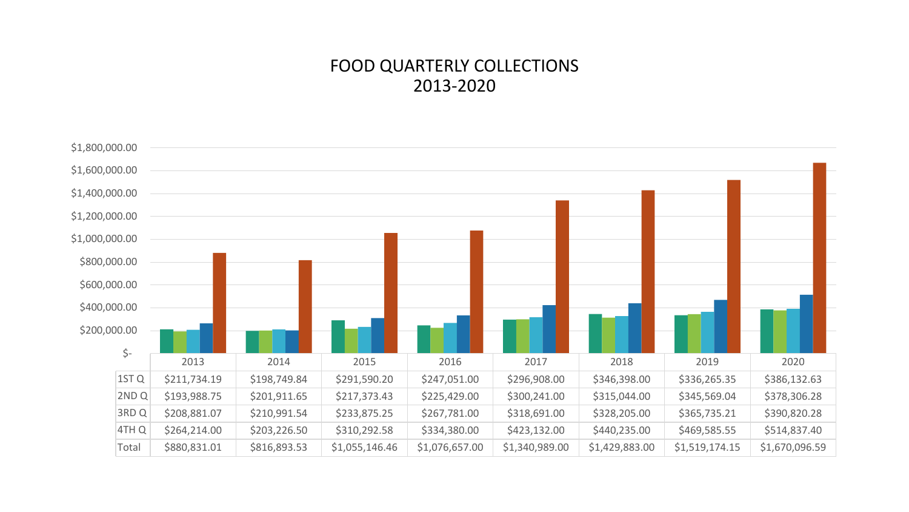### FOOD QUARTERLY COLLECTIONS 2013-2020

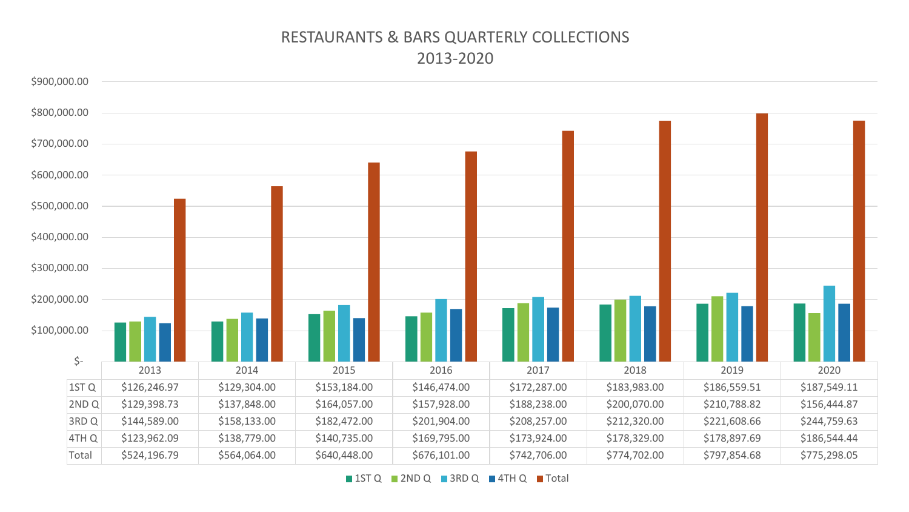### RESTAURANTS & BARS QUARTERLY COLLECTIONS 2013-2020

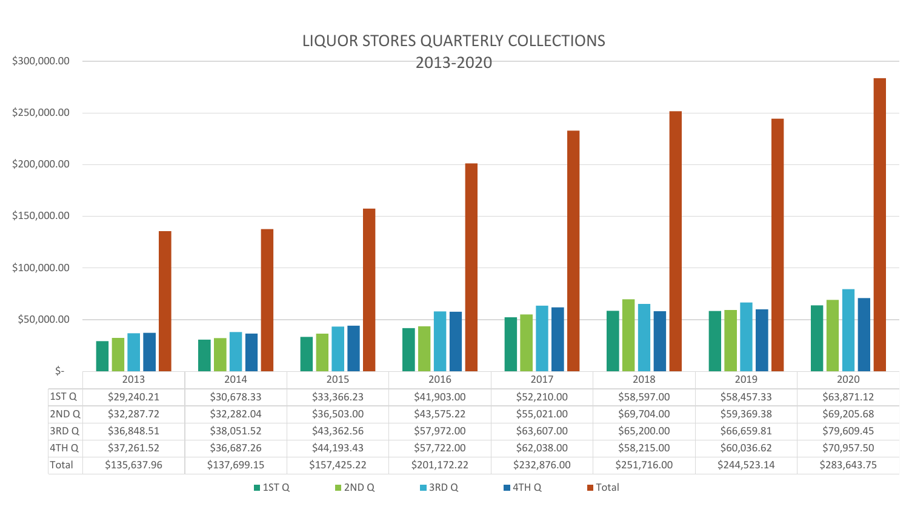#### LIQUOR STORES QUARTERLY COLLECTIONS

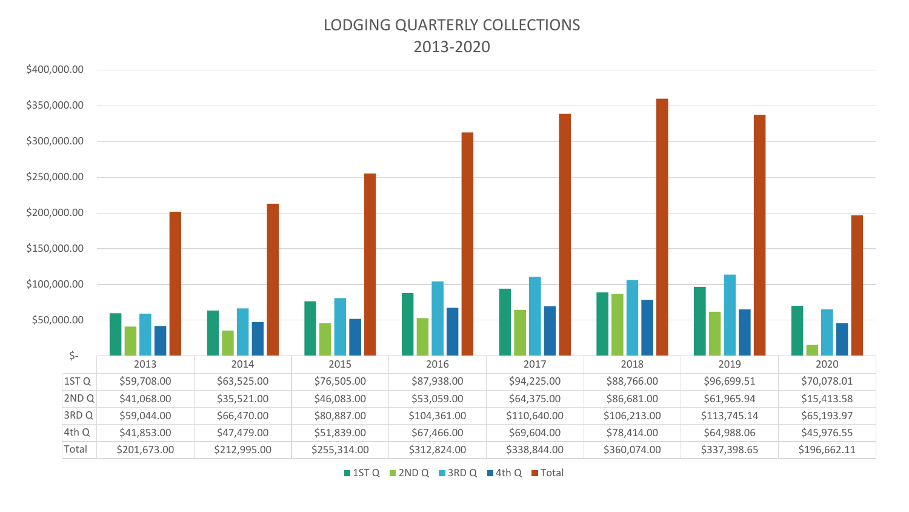### LODGING QUARTERLY COLLECTIONS 2013-2020

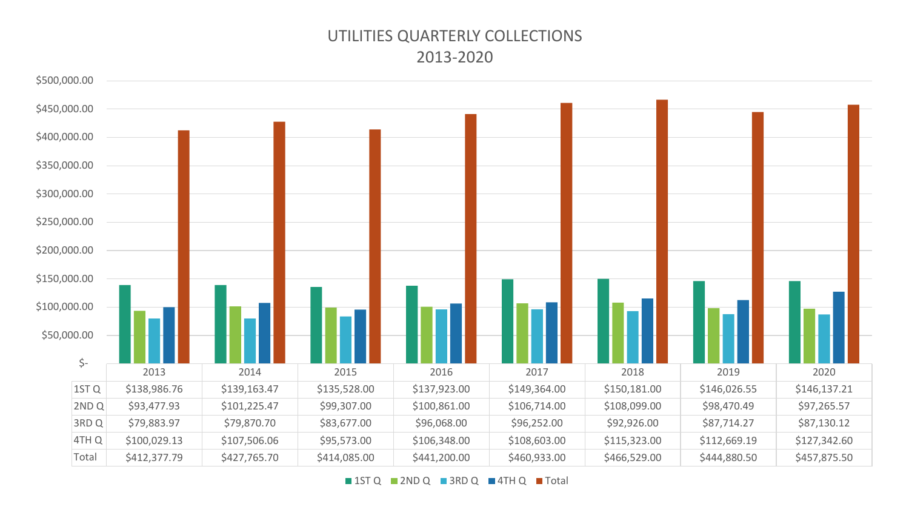## UTILITIES QUARTERLY COLLECTIONS 2013-2020

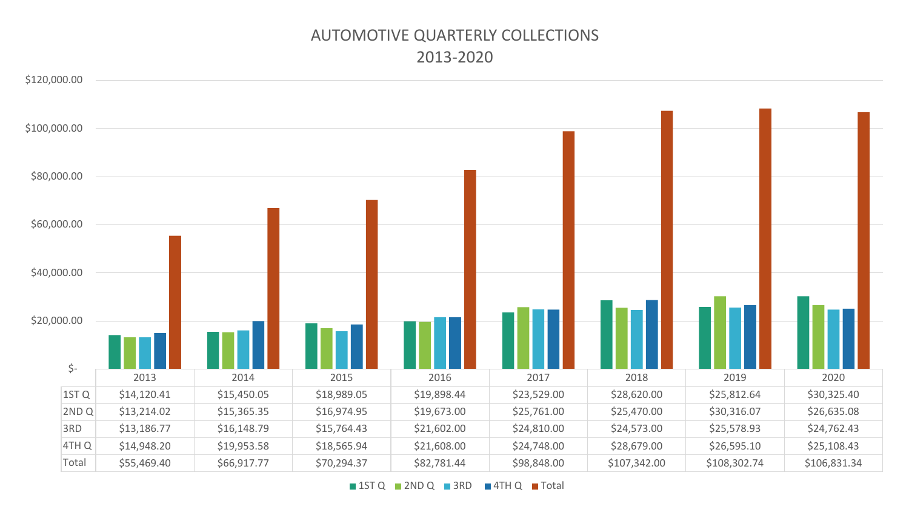# AUTOMOTIVE QUARTERLY COLLECTIONS 2013-2020

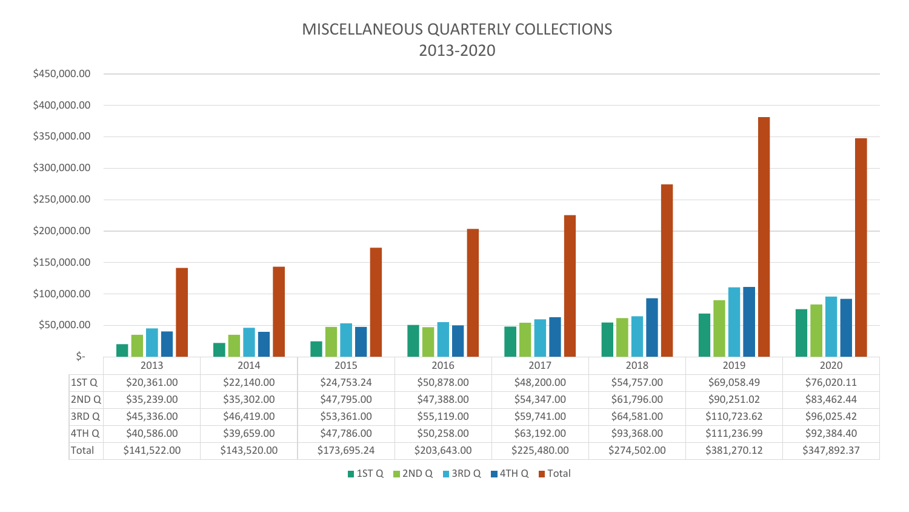#### MISCELLANEOUS QUARTERLY COLLECTIONS 2013-2020

![](_page_9_Figure_1.jpeg)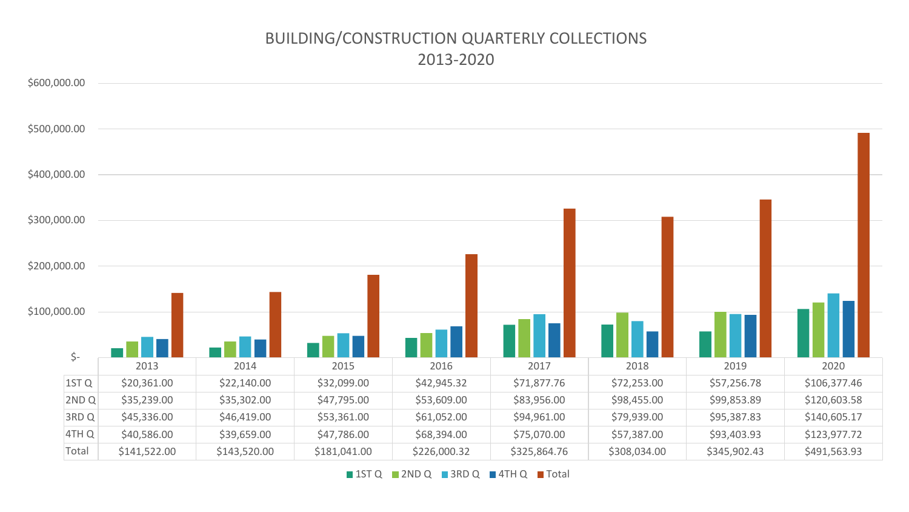# BUILDING/CONSTRUCTION QUARTERLY COLLECTIONS 2013-2020

![](_page_10_Figure_1.jpeg)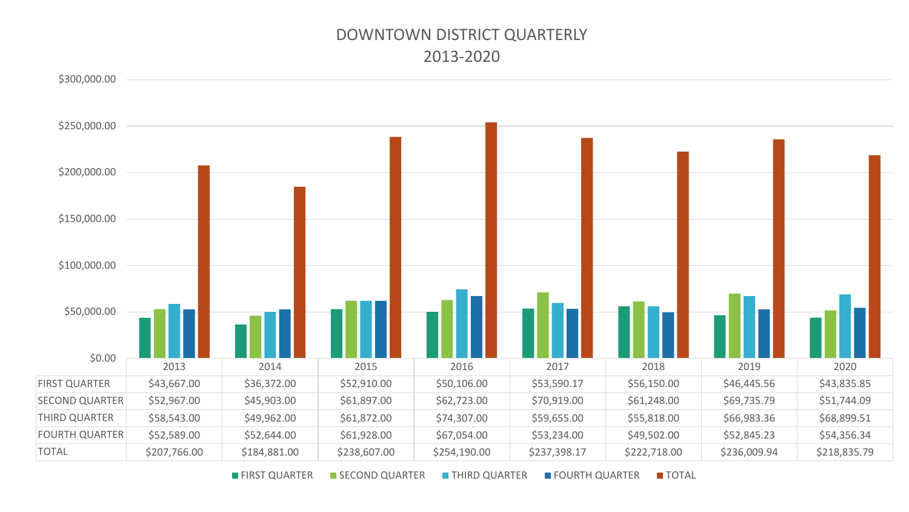# DOWNTOWN DISTRICT QUARTERLY 2013-2020

![](_page_11_Figure_1.jpeg)

**■ FIRST QUARTER ■ SECOND QUARTER ■ THIRD QUARTER ■ FOURTH QUARTER ■ TOTAL**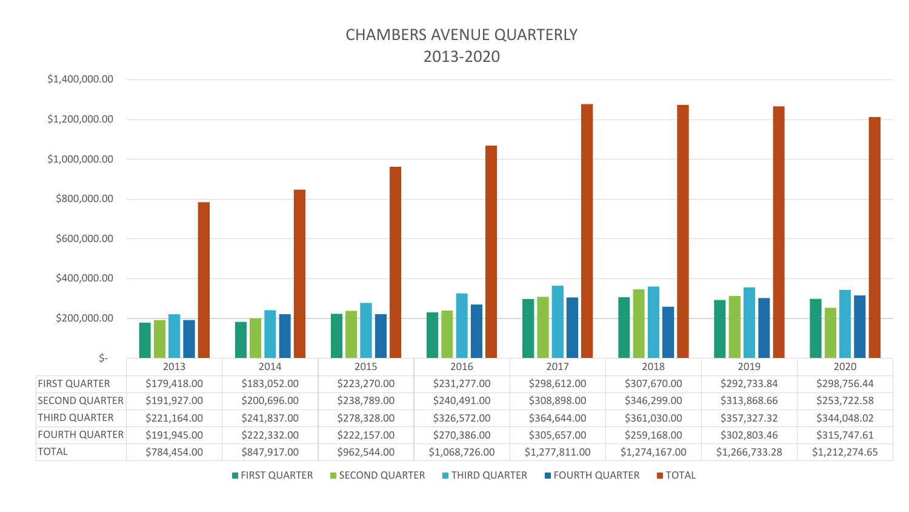# CHAMBERS AVENUE QUARTERLY 2013-2020

![](_page_12_Figure_1.jpeg)

**■ FIRST QUARTER ■ SECOND QUARTER ■ THIRD QUARTER ■ FOURTH QUARTER ■ TOTAL**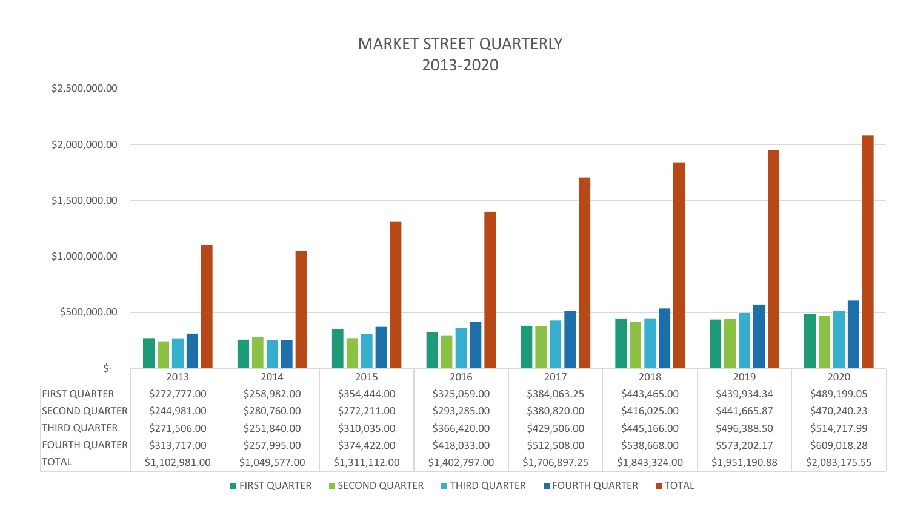# MARKET STREET QUARTERLY 2013-2020

![](_page_13_Figure_1.jpeg)

**FIRST QUARTER FIRST GUARTER THIRD QUARTER FOURTH QUARTER TOTAL**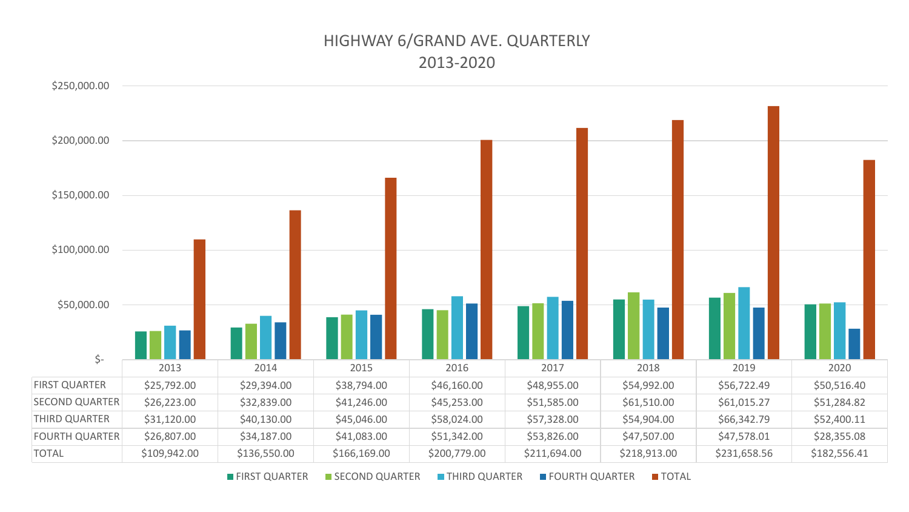# HIGHWAY 6/GRAND AVE. QUARTERLY 2013-2020

![](_page_14_Figure_1.jpeg)

**FIRST QUARTER ESECOND QUARTER FINIRD QUARTER FOURTH QUARTER FOTAL**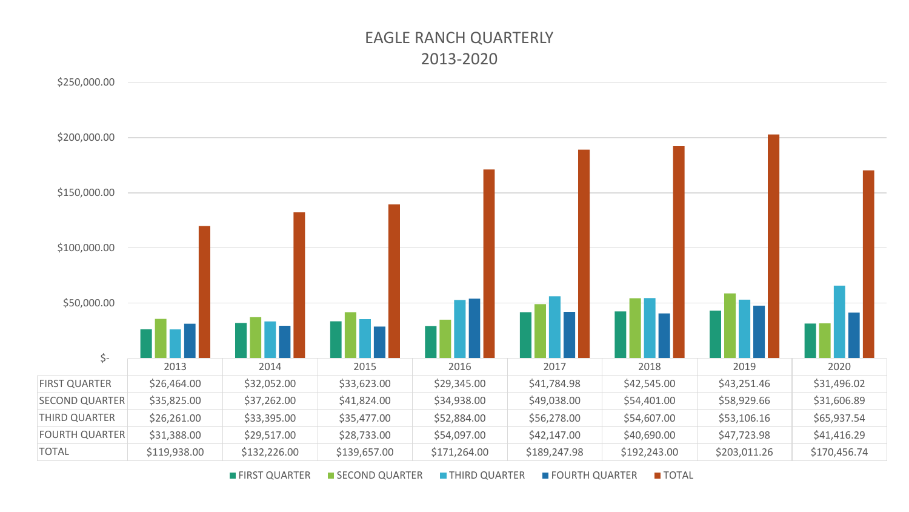# EAGLE RANCH QUARTERLY 2013-2020

![](_page_15_Figure_1.jpeg)

FIRST QUARTER SECOND QUARTER THIRD QUARTER FOURTH QUARTER TOTAL